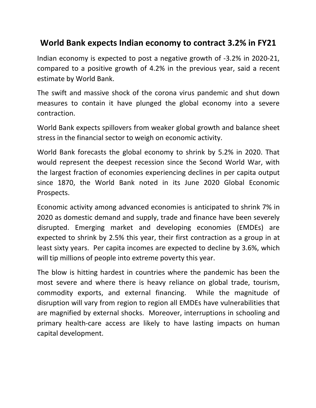# **World Bank expects Indian economy to contract 3.2% in FY21**

Indian economy is expected to post a negative growth of -3.2% in 2020-21, compared to a positive growth of 4.2% in the previous year, said a recent estimate by World Bank.

The swift and massive shock of the corona virus pandemic and shut down measures to contain it have plunged the global economy into a severe contraction.

World Bank expects spillovers from weaker global growth and balance sheet stress in the financial sector to weigh on economic activity.

World Bank forecasts the global economy to shrink by 5.2% in 2020. That would represent the deepest recession since the Second World War, with the largest fraction of economies experiencing declines in per capita output since 1870, the World Bank noted in its June 2020 Global Economic Prospects.

Economic activity among advanced economies is anticipated to shrink 7% in 2020 as domestic demand and supply, trade and finance have been severely disrupted. Emerging market and developing economies (EMDEs) are expected to shrink by 2.5% this year, their first contraction as a group in at least sixty years. Per capita incomes are expected to decline by 3.6%, which will tip millions of people into extreme poverty this year.

The blow is hitting hardest in countries where the pandemic has been the most severe and where there is heavy reliance on global trade, tourism, commodity exports, and external financing. While the magnitude of disruption will vary from region to region all EMDEs have vulnerabilities that are magnified by external shocks. Moreover, interruptions in schooling and primary health-care access are likely to have lasting impacts on human capital development.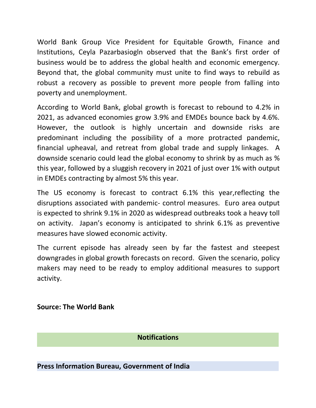World Bank Group Vice President for Equitable Growth, Finance and Institutions, Ceyla Pazarbasiogln observed that the Bank's first order of business would be to address the global health and economic emergency. Beyond that, the global community must unite to find ways to rebuild as robust a recovery as possible to prevent more people from falling into poverty and unemployment.

According to World Bank, global growth is forecast to rebound to 4.2% in 2021, as advanced economies grow 3.9% and EMDEs bounce back by 4.6%.<br>However, the outlook is highly uncertain and downside risks are predominant including the possibility of a more protracted pandemic, financial upheaval, and retreat from global trade and supply linkages. A downside scenario could lead the global economy to shrink by as much as % this year, followed by a sluggish recovery in 2021 of just over 1% with output in EMDEs contracting by almost 5% this year.

The US economy is forecast to contract 6.1% this year,reflecting the disruptions associated with pandemic- control measures. Euro area output is expected to shrink 9.1% in 2020 as widespread outbreaks took a heavy toll on activity. Japan's economy is anticipated to shrink 6.1% as preventive measures have slowed economic activity.

The current episode has already seen by far the fastest and steepest downgrades in global growth forecasts on record. Given the scenario, policy makers may need to be ready to employ additional measures to support activity.

### **Source: The World Bank**

### **Notifications**

**Press Information Bureau, Government of India**